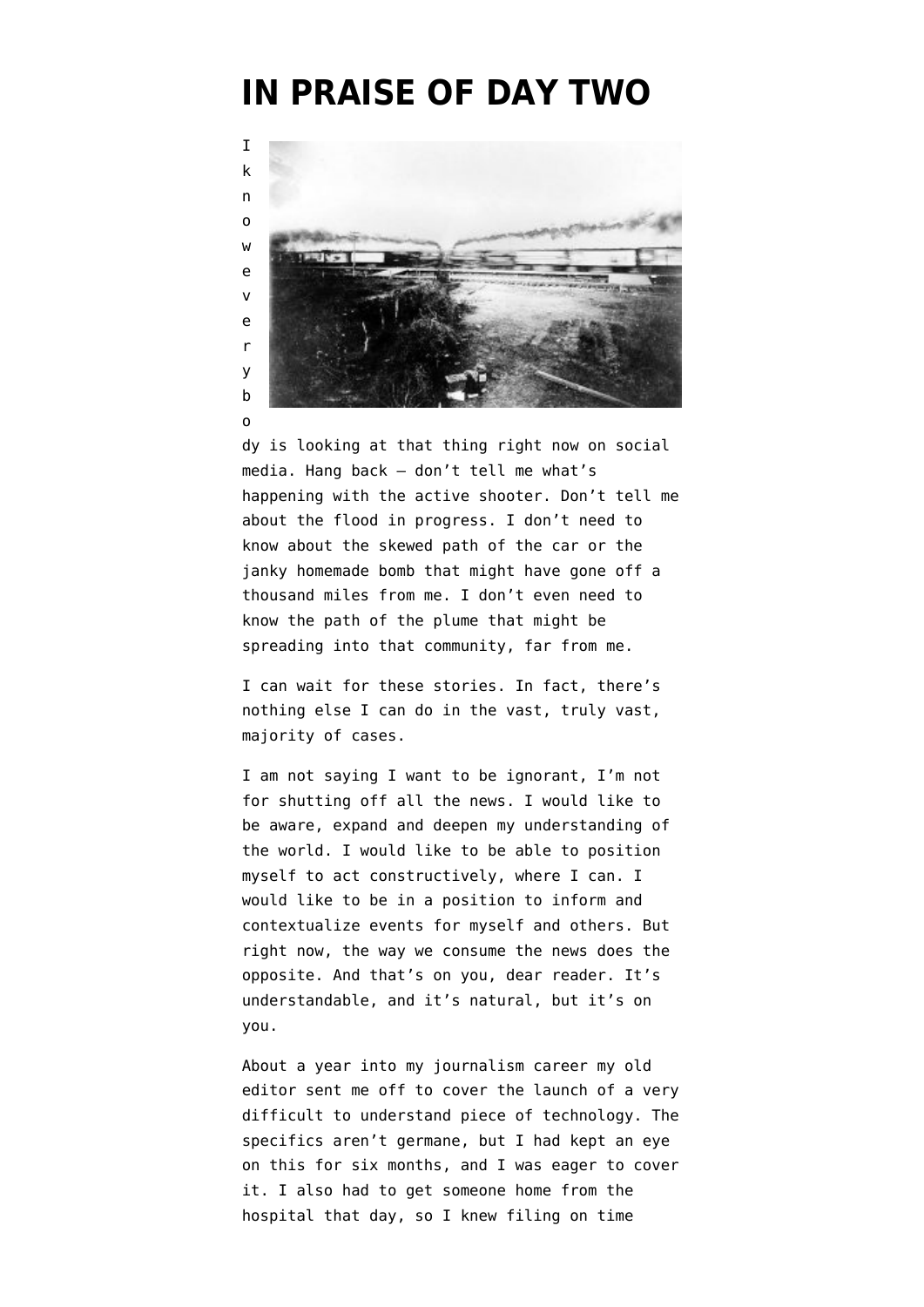## **[IN PRAISE OF DAY TWO](https://www.emptywheel.net/2017/10/02/in-praise-of-day-two/)**



dy is looking at that thing right now on social media. Hang back — don't tell me what's happening with the active shooter. Don't tell me about the flood in progress. I don't need to know about the skewed path of the car or the janky homemade bomb that might have gone off a thousand miles from me. I don't even need to know the path of the plume that might be spreading into that community, far from me.

I can wait for these stories. In fact, there's nothing else I can do in the vast, truly vast, majority of cases.

I am not saying I want to be ignorant, I'm not for shutting off all the news. I would like to be aware, expand and deepen my understanding of the world. I would like to be able to position myself to act constructively, where I can. I would like to be in a position to inform and contextualize events for myself and others. But right now, the way we consume the news does the opposite. And that's on you, dear reader. It's understandable, and it's natural, but it's on you.

About a year into my journalism career my old editor sent me off to cover the launch of a very difficult to understand piece of technology. The specifics aren't germane, but I had kept an eye on this for six months, and I was eager to cover it. I also had to get someone home from the hospital that day, so I knew filing on time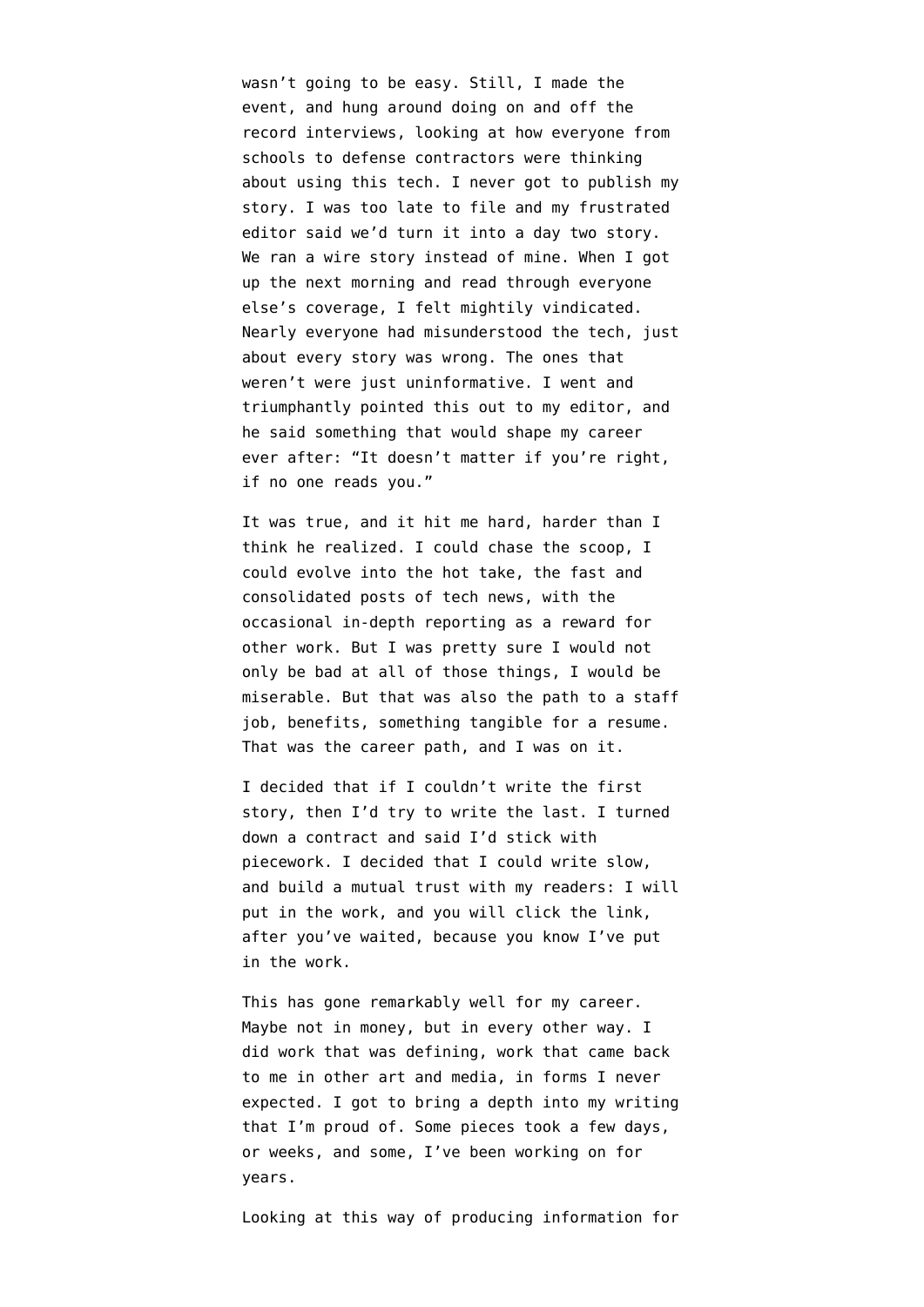wasn't going to be easy. Still, I made the event, and hung around doing on and off the record interviews, looking at how everyone from schools to defense contractors were thinking about using this tech. I never got to publish my story. I was too late to file and my frustrated editor said we'd turn it into a day two story. We ran a wire story instead of mine. When I got up the next morning and read through everyone else's coverage, I felt mightily vindicated. Nearly everyone had misunderstood the tech, just about every story was wrong. The ones that weren't were just uninformative. I went and triumphantly pointed this out to my editor, and he said something that would shape my career ever after: "It doesn't matter if you're right, if no one reads you."

It was true, and it hit me hard, harder than I think he realized. I could chase the scoop, I could evolve into the hot take, the fast and consolidated posts of tech news, with the occasional in-depth reporting as a reward for other work. But I was pretty sure I would not only be bad at all of those things, I would be miserable. But that was also the path to a staff job, benefits, something tangible for a resume. That was the career path, and I was on it.

I decided that if I couldn't write the first story, then I'd try to write the last. I turned down a contract and said I'd stick with piecework. I decided that I could write slow, and build a mutual trust with my readers: I will put in the work, and you will click the link, after you've waited, because you know I've put in the work.

This has gone remarkably well for my career. Maybe not in money, but in every other way. I did work that was defining, work that came back to me in other art and media, in forms I never expected. I got to bring a depth into my writing that I'm proud of. Some pieces took a few days, or weeks, and some, I've been working on for years.

Looking at this way of producing information for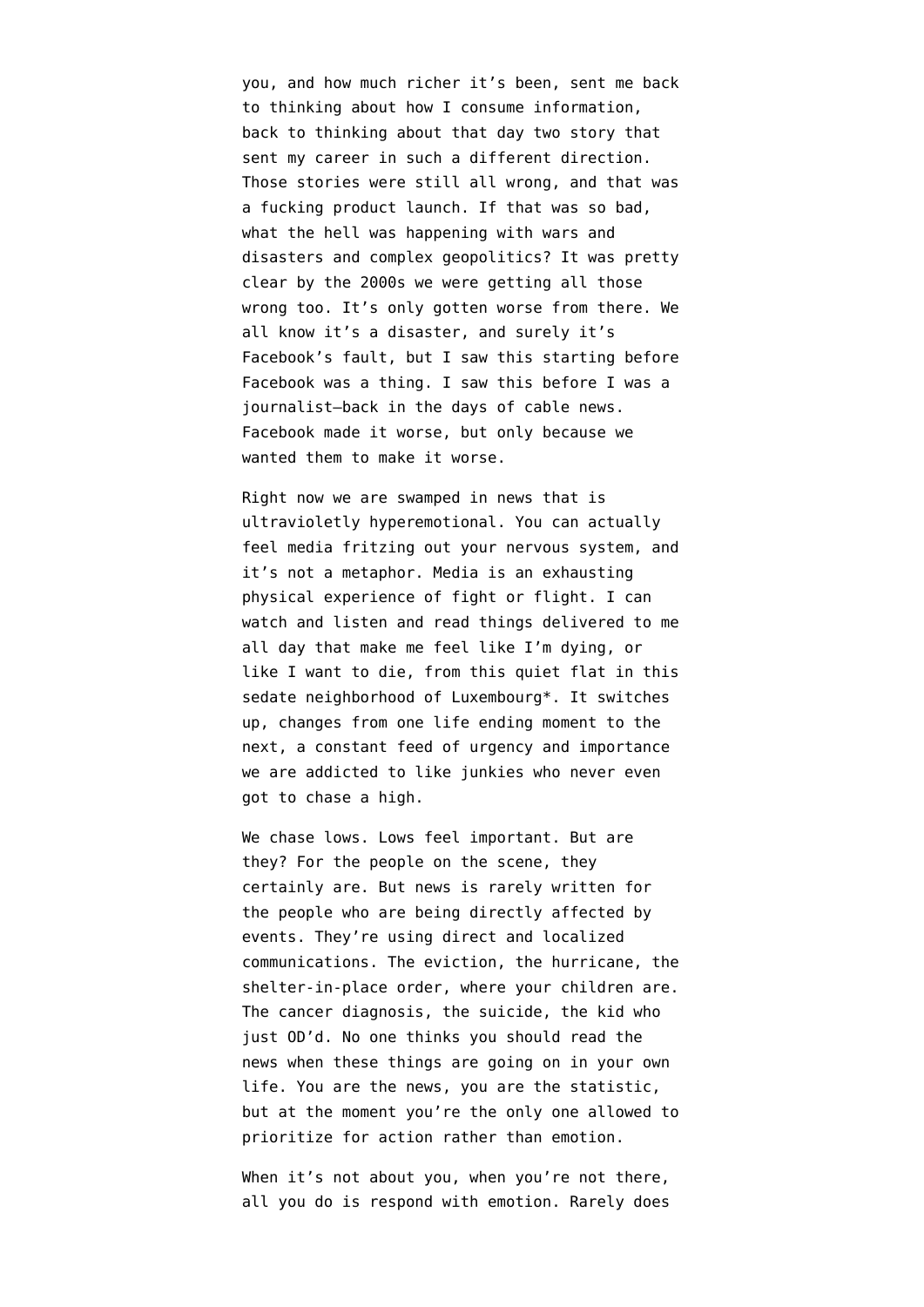you, and how much richer it's been, sent me back to thinking about how I consume information, back to thinking about that day two story that sent my career in such a different direction. Those stories were still all wrong, and that was a fucking product launch. If that was so bad, what the hell was happening with wars and disasters and complex geopolitics? It was pretty clear by the 2000s we were getting all those wrong too. It's only gotten worse from there. We all know it's a disaster, and surely it's Facebook's fault, but I saw this starting before Facebook was a thing. I saw this before I was a journalist—back in the days of cable news. Facebook made it worse, but only because we wanted them to make it worse.

Right now we are swamped in news that is ultravioletly hyperemotional. You can actually feel media fritzing out your nervous system, and it's not a metaphor. Media is an exhausting physical experience of fight or flight. I can watch and listen and read things delivered to me all day that make me feel like I'm dying, or like I want to die, from this quiet flat in this sedate neighborhood of Luxembourg\*. It switches up, changes from one life ending moment to the next, a constant feed of urgency and importance we are addicted to like junkies who never even got to chase a high.

We chase lows. Lows feel important. But are they? For the people on the scene, they certainly are. But news is rarely written for the people who are being directly affected by events. They're using direct and localized communications. The eviction, the hurricane, the shelter-in-place order, where your children are. The cancer diagnosis, the suicide, the kid who just OD'd. No one thinks you should read the news when these things are going on in your own life. You are the news, you are the statistic, but at the moment you're the only one allowed to prioritize for action rather than emotion.

When it's not about you, when you're not there, all you do is respond with emotion. Rarely does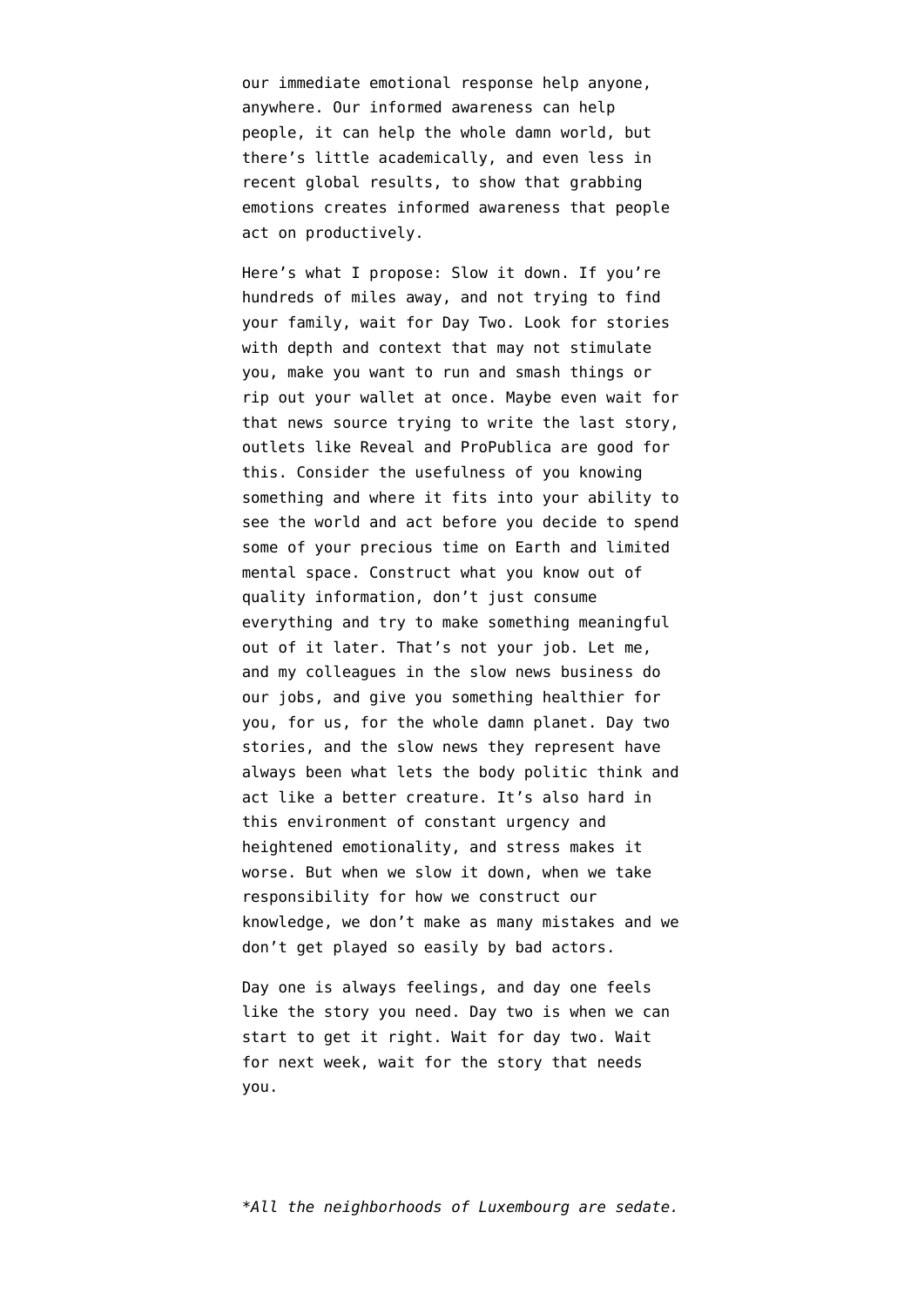our immediate emotional response help anyone, anywhere. Our informed awareness can help people, it can help the whole damn world, but there's little academically, and even less in recent global results, to show that grabbing emotions creates informed awareness that people act on productively.

Here's what I propose: Slow it down. If you're hundreds of miles away, and not trying to find your family, wait for Day Two. Look for stories with depth and context that may not stimulate you, make you want to run and smash things or rip out your wallet at once. Maybe even wait for that news source trying to write the last story, outlets like [Reveal](https://www.revealnews.org/) and [ProPublica](https://www.propublica.org/) are good for this. Consider the usefulness of you knowing something and where it fits into your ability to see the world and act before you decide to spend some of your precious time on Earth and limited mental space. Construct what you know out of quality information, don't just consume everything and try to make something meaningful out of it later. That's not your job. Let me, and my colleagues in the slow news business do our jobs, and give you something healthier for you, for us, for the whole damn planet. Day two stories, and the slow news they represent have always been what lets the body politic think and act like a better creature. It's also hard in this environment of constant urgency and heightened emotionality, and stress makes it worse. But when we slow it down, when we take responsibility for how we construct our knowledge, we don't make as many mistakes and we don't get played so easily by bad actors.

Day one is always feelings, and day one feels like the story you need. Day two is when we can start to get it right. Wait for day two. Wait for next week, wait for the story that needs you.

*\*All the neighborhoods of Luxembourg are sedate.*